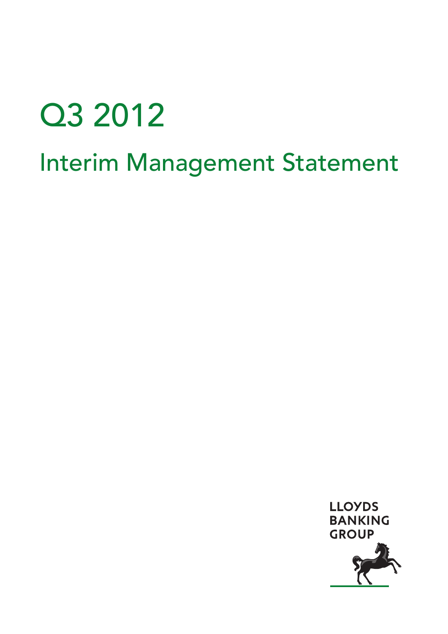# Q3 2012

# Interim Management Statement

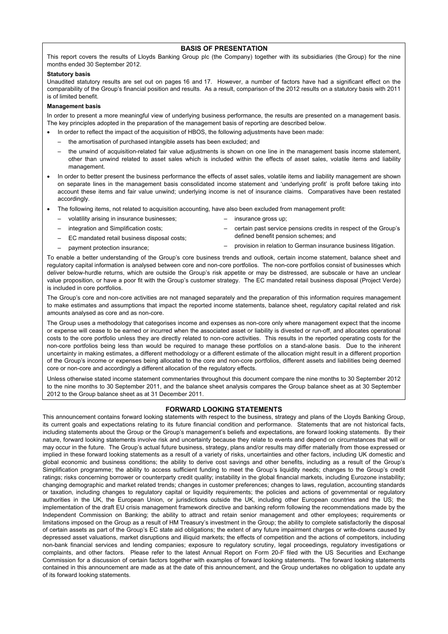#### **BASIS OF PRESENTATION**

This report covers the results of Lloyds Banking Group plc (the Company) together with its subsidiaries (the Group) for the nine months ended 30 September 2012.

#### **Statutory basis**

Unaudited statutory results are set out on pages 16 and 17. However, a number of factors have had a significant effect on the comparability of the Group's financial position and results. As a result, comparison of the 2012 results on a statutory basis with 2011 is of limited benefit.

#### **Management basis**

In order to present a more meaningful view of underlying business performance, the results are presented on a management basis. The key principles adopted in the preparation of the management basis of reporting are described below.

- In order to reflect the impact of the acquisition of HBOS, the following adjustments have been made:
- the amortisation of purchased intangible assets has been excluded; and
- the unwind of acquisition-related fair value adjustments is shown on one line in the management basis income statement, other than unwind related to asset sales which is included within the effects of asset sales, volatile items and liability management.
- In order to better present the business performance the effects of asset sales, volatile items and liability management are shown on separate lines in the management basis consolidated income statement and 'underlying profit' is profit before taking into account these items and fair value unwind; underlying income is net of insurance claims. Comparatives have been restated accordingly.
- The following items, not related to acquisition accounting, have also been excluded from management profit:
	- volatility arising in insurance businesses;
	- integration and Simplification costs;

– payment protection insurance;

- EC mandated retail business disposal costs;
- insurance gross up;
- certain past service pensions credits in respect of the Group's defined benefit pension schemes; and
- provision in relation to German insurance business litigation.

To enable a better understanding of the Group's core business trends and outlook, certain income statement, balance sheet and regulatory capital information is analysed between core and non-core portfolios. The non-core portfolios consist of businesses which deliver below-hurdle returns, which are outside the Group's risk appetite or may be distressed, are subscale or have an unclear value proposition, or have a poor fit with the Group's customer strategy. The EC mandated retail business disposal (Project Verde) is included in core portfolios.

The Group's core and non-core activities are not managed separately and the preparation of this information requires management to make estimates and assumptions that impact the reported income statements, balance sheet, regulatory capital related and risk amounts analysed as core and as non-core.

The Group uses a methodology that categorises income and expenses as non-core only where management expect that the income or expense will cease to be earned or incurred when the associated asset or liability is divested or run-off, and allocates operational costs to the core portfolio unless they are directly related to non-core activities. This results in the reported operating costs for the non-core portfolios being less than would be required to manage these portfolios on a stand-alone basis. Due to the inherent uncertainty in making estimates, a different methodology or a different estimate of the allocation might result in a different proportion of the Group's income or expenses being allocated to the core and non-core portfolios, different assets and liabilities being deemed core or non-core and accordingly a different allocation of the regulatory effects.

Unless otherwise stated income statement commentaries throughout this document compare the nine months to 30 September 2012 to the nine months to 30 September 2011, and the balance sheet analysis compares the Group balance sheet as at 30 September 2012 to the Group balance sheet as at 31 December 2011.

#### **FORWARD LOOKING STATEMENTS**

This announcement contains forward looking statements with respect to the business, strategy and plans of the Lloyds Banking Group, its current goals and expectations relating to its future financial condition and performance. Statements that are not historical facts, including statements about the Group or the Group's management's beliefs and expectations, are forward looking statements. By their nature, forward looking statements involve risk and uncertainty because they relate to events and depend on circumstances that will or may occur in the future. The Group's actual future business, strategy, plans and/or results may differ materially from those expressed or implied in these forward looking statements as a result of a variety of risks, uncertainties and other factors, including UK domestic and global economic and business conditions; the ability to derive cost savings and other benefits, including as a result of the Group's Simplification programme; the ability to access sufficient funding to meet the Group's liquidity needs; changes to the Group's credit ratings; risks concerning borrower or counterparty credit quality; instability in the global financial markets, including Eurozone instability; changing demographic and market related trends; changes in customer preferences; changes to laws, regulation, accounting standards or taxation, including changes to regulatory capital or liquidity requirements; the policies and actions of governmental or regulatory authorities in the UK, the European Union, or jurisdictions outside the UK, including other European countries and the US; the implementation of the draft EU crisis management framework directive and banking reform following the recommendations made by the Independent Commission on Banking; the ability to attract and retain senior management and other employees; requirements or limitations imposed on the Group as a result of HM Treasury's investment in the Group; the ability to complete satisfactorily the disposal of certain assets as part of the Group's EC state aid obligations; the extent of any future impairment charges or write-downs caused by depressed asset valuations, market disruptions and illiquid markets; the effects of competition and the actions of competitors, including non-bank financial services and lending companies; exposure to regulatory scrutiny, legal proceedings, regulatory investigations or complaints, and other factors. Please refer to the latest Annual Report on Form 20-F filed with the US Securities and Exchange Commission for a discussion of certain factors together with examples of forward looking statements. The forward looking statements contained in this announcement are made as at the date of this announcement, and the Group undertakes no obligation to update any of its forward looking statements.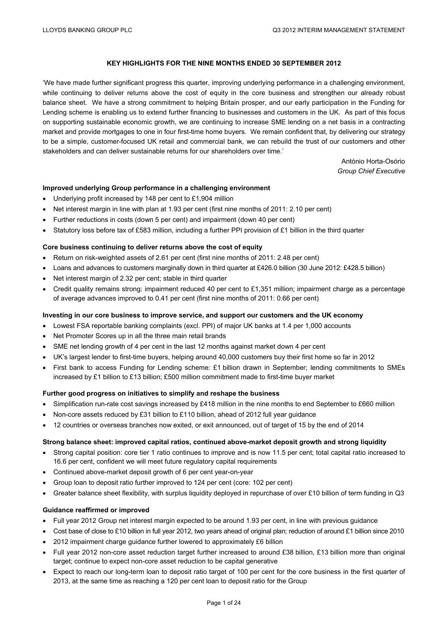#### **KEY HIGHLIGHTS FOR THE NINE MONTHS ENDED 30 SEPTEMBER 2012**

'We have made further significant progress this quarter, improving underlying performance in a challenging environment, while continuing to deliver returns above the cost of equity in the core business and strengthen our already robust balance sheet. We have a strong commitment to helping Britain prosper, and our early participation in the Funding for Lending scheme is enabling us to extend further financing to businesses and customers in the UK. As part of this focus on supporting sustainable economic growth, we are continuing to increase SME lending on a net basis in a contracting market and provide mortgages to one in four first-time home buyers. We remain confident that, by delivering our strategy to be a simple, customer-focused UK retail and commercial bank, we can rebuild the trust of our customers and other stakeholders and can deliver sustainable returns for our shareholders over time.'

> António Horta-Osório *Group Chief Executive*

#### **Improved underlying Group performance in a challenging environment**

- Underlying profit increased by 148 per cent to £1,904 million
- Net interest margin in line with plan at 1.93 per cent (first nine months of 2011: 2.10 per cent)
- Further reductions in costs (down 5 per cent) and impairment (down 40 per cent)
- Statutory loss before tax of £583 million, including a further PPI provision of £1 billion in the third quarter

#### **Core business continuing to deliver returns above the cost of equity**

- Return on risk-weighted assets of 2.61 per cent (first nine months of 2011: 2.48 per cent)
- Loans and advances to customers marginally down in third quarter at £426.0 billion (30 June 2012: £428.5 billion)
- Net interest margin of 2.32 per cent; stable in third quarter
- Credit quality remains strong: impairment reduced 40 per cent to £1,351 million; impairment charge as a percentage of average advances improved to 0.41 per cent (first nine months of 2011: 0.66 per cent)

#### **Investing in our core business to improve service, and support our customers and the UK economy**

- Lowest FSA reportable banking complaints (excl. PPI) of major UK banks at 1.4 per 1,000 accounts
- Net Promoter Scores up in all the three main retail brands
- SME net lending growth of 4 per cent in the last 12 months against market down 4 per cent
- UK's largest lender to first-time buyers, helping around 40,000 customers buy their first home so far in 2012
- First bank to access Funding for Lending scheme: £1 billion drawn in September; lending commitments to SMEs increased by £1 billion to £13 billion; £500 million commitment made to first-time buyer market

#### **Further good progress on initiatives to simplify and reshape the business**

- Simplification run-rate cost savings increased by £418 million in the nine months to end September to £660 million
- Non-core assets reduced by £31 billion to £110 billion, ahead of 2012 full year guidance
- 12 countries or overseas branches now exited, or exit announced, out of target of 15 by the end of 2014

#### **Strong balance sheet: improved capital ratios, continued above-market deposit growth and strong liquidity**

- Strong capital position: core tier 1 ratio continues to improve and is now 11.5 per cent; total capital ratio increased to 16.6 per cent, confident we will meet future regulatory capital requirements
- Continued above-market deposit growth of 6 per cent year-on-year
- Group loan to deposit ratio further improved to 124 per cent (core: 102 per cent)
- Greater balance sheet flexibility, with surplus liquidity deployed in repurchase of over £10 billion of term funding in Q3

#### **Guidance reaffirmed or improved**

- Full year 2012 Group net interest margin expected to be around 1.93 per cent, in line with previous guidance
- Cost base of close to £10 billion in full year 2012, two years ahead of original plan; reduction of around £1 billion since 2010
- 2012 impairment charge guidance further lowered to approximately £6 billion
- Full year 2012 non-core asset reduction target further increased to around £38 billion, £13 billion more than original target; continue to expect non-core asset reduction to be capital generative
- Expect to reach our long-term loan to deposit ratio target of 100 per cent for the core business in the first quarter of 2013, at the same time as reaching a 120 per cent loan to deposit ratio for the Group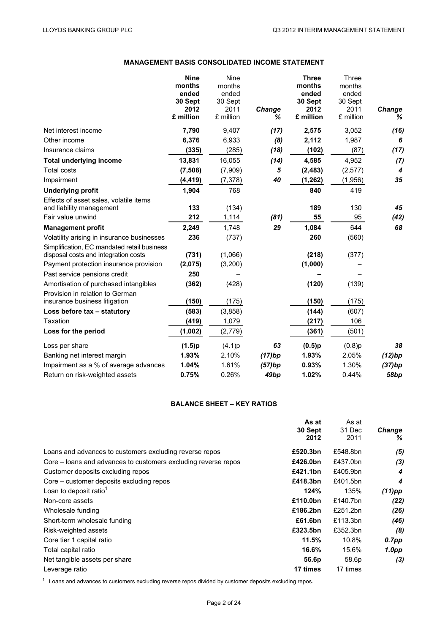# **MANAGEMENT BASIS CONSOLIDATED INCOME STATEMENT**

|                                                                                                                               | <b>Nine</b><br>months<br>ended<br>30 Sept<br>2012<br>£ million | Nine<br>months<br>ended<br>30 Sept<br>2011<br>£ million | Change<br>℅      | <b>Three</b><br>months<br>ended<br>30 Sept<br>2012<br>£ million | Three<br>months<br>ended<br>30 Sept<br>2011<br>£ million | Change<br>% |
|-------------------------------------------------------------------------------------------------------------------------------|----------------------------------------------------------------|---------------------------------------------------------|------------------|-----------------------------------------------------------------|----------------------------------------------------------|-------------|
| Net interest income                                                                                                           | 7,790                                                          | 9,407                                                   | (17)             | 2,575                                                           | 3,052                                                    | (16)        |
| Other income                                                                                                                  | 6,376                                                          | 6,933                                                   | (8)              | 2,112                                                           | 1,987                                                    | 6           |
| Insurance claims                                                                                                              | (335)                                                          | (285)                                                   | (18)             | (102)                                                           | (87)                                                     | (17)        |
| <b>Total underlying income</b>                                                                                                | 13,831                                                         | 16,055                                                  | (14)             | 4,585                                                           | 4,952                                                    | (7)         |
| <b>Total costs</b>                                                                                                            | (7, 508)                                                       | (7,909)                                                 | 5                | (2, 483)                                                        | (2,577)                                                  | 4           |
| Impairment                                                                                                                    | (4, 419)                                                       | (7, 378)                                                | 40               | (1, 262)                                                        | (1,956)                                                  | 35          |
| <b>Underlying profit</b>                                                                                                      | 1,904                                                          | 768                                                     |                  | 840                                                             | 419                                                      |             |
| Effects of asset sales, volatile items<br>and liability management                                                            | 133                                                            | (134)                                                   |                  | 189                                                             | 130                                                      | 45          |
| Fair value unwind                                                                                                             | 212                                                            | 1,114                                                   | (81)             | 55                                                              | 95                                                       | (42)        |
| <b>Management profit</b>                                                                                                      | 2,249                                                          | 1,748                                                   | 29               | 1,084                                                           | 644                                                      | 68          |
| Volatility arising in insurance businesses                                                                                    | 236                                                            | (737)                                                   |                  | 260                                                             | (560)                                                    |             |
| Simplification, EC mandated retail business<br>disposal costs and integration costs<br>Payment protection insurance provision | (731)<br>(2,075)                                               | (1,066)<br>(3,200)                                      |                  | (218)<br>(1,000)                                                | (377)                                                    |             |
| Past service pensions credit                                                                                                  | 250                                                            |                                                         |                  |                                                                 |                                                          |             |
| Amortisation of purchased intangibles                                                                                         | (362)                                                          | (428)                                                   |                  | (120)                                                           | (139)                                                    |             |
| Provision in relation to German<br>insurance business litigation                                                              | (150)                                                          | (175)                                                   |                  | (150)                                                           | (175)                                                    |             |
| Loss before tax - statutory                                                                                                   | (583)                                                          | (3,858)                                                 |                  | (144)                                                           | (607)                                                    |             |
| Taxation                                                                                                                      | (419)                                                          | 1,079                                                   |                  | (217)                                                           | 106                                                      |             |
| Loss for the period                                                                                                           | (1,002)                                                        | (2,779)                                                 |                  | (361)                                                           | (501)                                                    |             |
| Loss per share                                                                                                                | (1.5)p                                                         | (4.1)p                                                  | 63               | (0.5)p                                                          | (0.8)p                                                   | 38          |
| Banking net interest margin                                                                                                   | 1.93%                                                          | 2.10%                                                   | (17)bp           | 1.93%                                                           | 2.05%                                                    | (12)bp      |
| Impairment as a % of average advances                                                                                         | 1.04%                                                          | 1.61%                                                   | (57)bp           | 0.93%                                                           | 1.30%                                                    | (37)bp      |
| Return on risk-weighted assets                                                                                                | 0.75%                                                          | 0.26%                                                   | 49 <sub>bp</sub> | 1.02%                                                           | 0.44%                                                    | 58bp        |

### **BALANCE SHEET – KEY RATIOS**

|                                                                | As at    | As at    |           |
|----------------------------------------------------------------|----------|----------|-----------|
|                                                                | 30 Sept  | 31 Dec   | Change    |
|                                                                | 2012     | 2011     | ℅         |
| Loans and advances to customers excluding reverse repos        | £520.3bn | £548.8bn | (5)       |
| Core – loans and advances to customers excluding reverse repos | £426.0bn | £437.0bn | (3)       |
| Customer deposits excluding repos                              | £421.1bn | £405.9bn | 4         |
| Core – customer deposits excluding repos                       | £418.3bn | £401.5bn | 4         |
| Loan to deposit ratio <sup>1</sup>                             | 124%     | 135%     | $(11)$ pp |
| Non-core assets                                                | £110.0bn | £140.7bn | (22)      |
| Wholesale funding                                              | £186.2bn | £251.2bn | (26)      |
| Short-term wholesale funding                                   | £61.6bn  | £113.3bn | (46)      |
| Risk-weighted assets                                           | £323.5bn | £352.3bn | (8)       |
| Core tier 1 capital ratio                                      | 11.5%    | 10.8%    | $0.7$ pp  |
| Total capital ratio                                            | 16.6%    | 15.6%    | 1.0pp     |
| Net tangible assets per share                                  | 56.6p    | 58.6p    | (3)       |
| Leverage ratio                                                 | 17 times | 17 times |           |

 $1$  Loans and advances to customers excluding reverse repos divided by customer deposits excluding repos.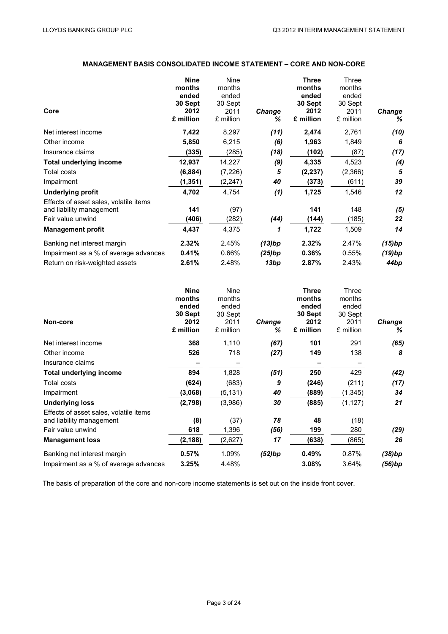# **MANAGEMENT BASIS CONSOLIDATED INCOME STATEMENT – CORE AND NON-CORE**

|                                        | <b>Nine</b> | Nine      |               | Three     | Three     |        |
|----------------------------------------|-------------|-----------|---------------|-----------|-----------|--------|
|                                        | months      | months    |               | months    | months    |        |
|                                        | ended       | ended     |               | ended     | ended     |        |
|                                        | 30 Sept     | 30 Sept   |               | 30 Sept   | 30 Sept   |        |
| Core                                   | 2012        | 2011      | <b>Change</b> | 2012      | 2011      | Change |
|                                        | £ million   | £ million | ℅             | £ million | £ million | ℅      |
| Net interest income                    | 7,422       | 8,297     | (11)          | 2,474     | 2,761     | (10)   |
| Other income                           | 5,850       | 6,215     | (6)           | 1,963     | 1,849     | 6      |
| Insurance claims                       | (335)       | (285)     | (18)          | (102)     | (87)      | (17)   |
| <b>Total underlying income</b>         | 12,937      | 14,227    | (9)           | 4,335     | 4,523     | (4)    |
| Total costs                            | (6, 884)    | (7, 226)  | 5             | (2, 237)  | (2,366)   | 5      |
| Impairment                             | (1, 351)    | (2, 247)  | 40            | (373)     | (611)     | 39     |
| Underlying profit                      | 4,702       | 4,754     | (1)           | 1,725     | 1,546     | 12     |
| Effects of asset sales, volatile items |             |           |               |           |           |        |
| and liability management               | 141         | (97)      |               | 141       | 148       | (5)    |
| Fair value unwind                      | (406)       | (282)     | (44)          | (144)     | (185)     | 22     |
| <b>Management profit</b>               | 4,437       | 4,375     | 1             | 1,722     | 1,509     | 14     |
| Banking net interest margin            | 2.32%       | 2.45%     | (13)bp        | 2.32%     | 2.47%     | (15)bp |
| Impairment as a % of average advances  | 0.41%       | 0.66%     | (25)bp        | 0.36%     | 0.55%     | (19)bp |
| Return on risk-weighted assets         | 2.61%       | 2.48%     | 13bp          | 2.87%     | 2.43%     | 44bp   |

| <b>Nine</b><br>months<br>ended<br>30 Sept<br>2012<br>£ million | Nine<br>months<br>ended<br>30 Sept<br>2011<br>£ million | Change<br>% | <b>Three</b><br>months<br>ended<br>30 Sept<br>2012<br>£ million | Three<br>months<br>ended<br>30 Sept<br>2011<br>£ million | Change<br>%      |
|----------------------------------------------------------------|---------------------------------------------------------|-------------|-----------------------------------------------------------------|----------------------------------------------------------|------------------|
| 368                                                            | 1,110                                                   | (67)        | 101                                                             | 291                                                      | (65)             |
| 526                                                            | 718                                                     | (27)        | 149                                                             | 138                                                      | 8                |
|                                                                |                                                         |             |                                                                 |                                                          |                  |
| 894                                                            | 1,828                                                   | (51)        | 250                                                             | 429                                                      | (42)             |
| (624)                                                          | (683)                                                   | 9           | (246)                                                           | (211)                                                    | (17)             |
| (3,068)                                                        | (5, 131)                                                | 40          | (889)                                                           | (1, 345)                                                 | 34               |
| (2,798)                                                        | (3,986)                                                 | 30          | (885)                                                           | (1, 127)                                                 | 21               |
| (8)<br>618                                                     | (37)<br>1,396                                           | 78<br>(56)  | 48<br>199                                                       | (18)<br>280                                              | (29)             |
| (2, 188)                                                       | (2,627)                                                 | 17          | (638)                                                           | (865)                                                    | 26               |
| 0.57%<br>3.25%                                                 | 1.09%<br>4.48%                                          | (52)bp      | 0.49%<br>3.08%                                                  | 0.87%<br>3.64%                                           | (38)bp<br>(56)bp |
|                                                                |                                                         |             |                                                                 |                                                          |                  |

The basis of preparation of the core and non-core income statements is set out on the inside front cover.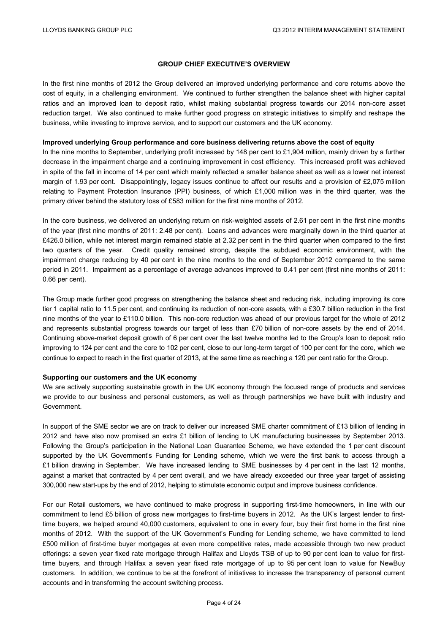#### **GROUP CHIEF EXECUTIVE'S OVERVIEW**

In the first nine months of 2012 the Group delivered an improved underlying performance and core returns above the cost of equity, in a challenging environment. We continued to further strengthen the balance sheet with higher capital ratios and an improved loan to deposit ratio, whilst making substantial progress towards our 2014 non-core asset reduction target. We also continued to make further good progress on strategic initiatives to simplify and reshape the business, while investing to improve service, and to support our customers and the UK economy.

#### **Improved underlying Group performance and core business delivering returns above the cost of equity**

In the nine months to September, underlying profit increased by 148 per cent to £1,904 million, mainly driven by a further decrease in the impairment charge and a continuing improvement in cost efficiency. This increased profit was achieved in spite of the fall in income of 14 per cent which mainly reflected a smaller balance sheet as well as a lower net interest margin of 1.93 per cent. Disappointingly, legacy issues continue to affect our results and a provision of £2,075 million relating to Payment Protection Insurance (PPI) business, of which £1,000 million was in the third quarter, was the primary driver behind the statutory loss of £583 million for the first nine months of 2012.

In the core business, we delivered an underlying return on risk-weighted assets of 2.61 per cent in the first nine months of the year (first nine months of 2011: 2.48 per cent). Loans and advances were marginally down in the third quarter at £426.0 billion, while net interest margin remained stable at 2.32 per cent in the third quarter when compared to the first two quarters of the year. Credit quality remained strong, despite the subdued economic environment, with the impairment charge reducing by 40 per cent in the nine months to the end of September 2012 compared to the same period in 2011. Impairment as a percentage of average advances improved to 0.41 per cent (first nine months of 2011: 0.66 per cent).

The Group made further good progress on strengthening the balance sheet and reducing risk, including improving its core tier 1 capital ratio to 11.5 per cent, and continuing its reduction of non-core assets, with a £30.7 billion reduction in the first nine months of the year to £110.0 billion. This non-core reduction was ahead of our previous target for the whole of 2012 and represents substantial progress towards our target of less than £70 billion of non-core assets by the end of 2014. Continuing above-market deposit growth of 6 per cent over the last twelve months led to the Group's loan to deposit ratio improving to 124 per cent and the core to 102 per cent, close to our long-term target of 100 per cent for the core, which we continue to expect to reach in the first quarter of 2013, at the same time as reaching a 120 per cent ratio for the Group.

#### **Supporting our customers and the UK economy**

We are actively supporting sustainable growth in the UK economy through the focused range of products and services we provide to our business and personal customers, as well as through partnerships we have built with industry and Government.

In support of the SME sector we are on track to deliver our increased SME charter commitment of £13 billion of lending in 2012 and have also now promised an extra £1 billion of lending to UK manufacturing businesses by September 2013. Following the Group's participation in the National Loan Guarantee Scheme, we have extended the 1 per cent discount supported by the UK Government's Funding for Lending scheme, which we were the first bank to access through a £1 billion drawing in September. We have increased lending to SME businesses by 4 per cent in the last 12 months, against a market that contracted by 4 per cent overall, and we have already exceeded our three year target of assisting 300,000 new start-ups by the end of 2012, helping to stimulate economic output and improve business confidence.

For our Retail customers, we have continued to make progress in supporting first-time homeowners, in line with our commitment to lend £5 billion of gross new mortgages to first-time buyers in 2012. As the UK's largest lender to firsttime buyers, we helped around 40,000 customers, equivalent to one in every four, buy their first home in the first nine months of 2012. With the support of the UK Government's Funding for Lending scheme, we have committed to lend £500 million of first-time buyer mortgages at even more competitive rates, made accessible through two new product offerings: a seven year fixed rate mortgage through Halifax and Lloyds TSB of up to 90 per cent loan to value for firsttime buyers, and through Halifax a seven year fixed rate mortgage of up to 95 per cent loan to value for NewBuy customers. In addition, we continue to be at the forefront of initiatives to increase the transparency of personal current accounts and in transforming the account switching process.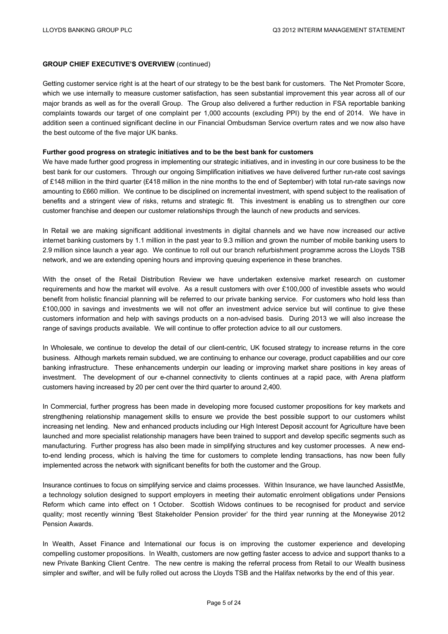#### **GROUP CHIEF EXECUTIVE'S OVERVIEW** (continued)

Getting customer service right is at the heart of our strategy to be the best bank for customers. The Net Promoter Score, which we use internally to measure customer satisfaction, has seen substantial improvement this year across all of our major brands as well as for the overall Group. The Group also delivered a further reduction in FSA reportable banking complaints towards our target of one complaint per 1,000 accounts (excluding PPI) by the end of 2014. We have in addition seen a continued significant decline in our Financial Ombudsman Service overturn rates and we now also have the best outcome of the five major UK banks.

#### **Further good progress on strategic initiatives and to be the best bank for customers**

We have made further good progress in implementing our strategic initiatives, and in investing in our core business to be the best bank for our customers. Through our ongoing Simplification initiatives we have delivered further run-rate cost savings of £148 million in the third quarter (£418 million in the nine months to the end of September) with total run-rate savings now amounting to £660 million. We continue to be disciplined on incremental investment, with spend subject to the realisation of benefits and a stringent view of risks, returns and strategic fit. This investment is enabling us to strengthen our core customer franchise and deepen our customer relationships through the launch of new products and services.

In Retail we are making significant additional investments in digital channels and we have now increased our active internet banking customers by 1.1 million in the past year to 9.3 million and grown the number of mobile banking users to 2.9 million since launch a year ago. We continue to roll out our branch refurbishment programme across the Lloyds TSB network, and we are extending opening hours and improving queuing experience in these branches.

With the onset of the Retail Distribution Review we have undertaken extensive market research on customer requirements and how the market will evolve. As a result customers with over £100,000 of investible assets who would benefit from holistic financial planning will be referred to our private banking service. For customers who hold less than £100,000 in savings and investments we will not offer an investment advice service but will continue to give these customers information and help with savings products on a non-advised basis. During 2013 we will also increase the range of savings products available. We will continue to offer protection advice to all our customers.

In Wholesale, we continue to develop the detail of our client-centric, UK focused strategy to increase returns in the core business. Although markets remain subdued, we are continuing to enhance our coverage, product capabilities and our core banking infrastructure. These enhancements underpin our leading or improving market share positions in key areas of investment. The development of our e-channel connectivity to clients continues at a rapid pace, with Arena platform customers having increased by 20 per cent over the third quarter to around 2,400.

In Commercial, further progress has been made in developing more focused customer propositions for key markets and strengthening relationship management skills to ensure we provide the best possible support to our customers whilst increasing net lending. New and enhanced products including our High Interest Deposit account for Agriculture have been launched and more specialist relationship managers have been trained to support and develop specific segments such as manufacturing. Further progress has also been made in simplifying structures and key customer processes. A new endto-end lending process, which is halving the time for customers to complete lending transactions, has now been fully implemented across the network with significant benefits for both the customer and the Group.

Insurance continues to focus on simplifying service and claims processes. Within Insurance, we have launched AssistMe, a technology solution designed to support employers in meeting their automatic enrolment obligations under Pensions Reform which came into effect on 1 October. Scottish Widows continues to be recognised for product and service quality; most recently winning 'Best Stakeholder Pension provider' for the third year running at the Moneywise 2012 Pension Awards.

In Wealth, Asset Finance and International our focus is on improving the customer experience and developing compelling customer propositions. In Wealth, customers are now getting faster access to advice and support thanks to a new Private Banking Client Centre. The new centre is making the referral process from Retail to our Wealth business simpler and swifter, and will be fully rolled out across the Lloyds TSB and the Halifax networks by the end of this year.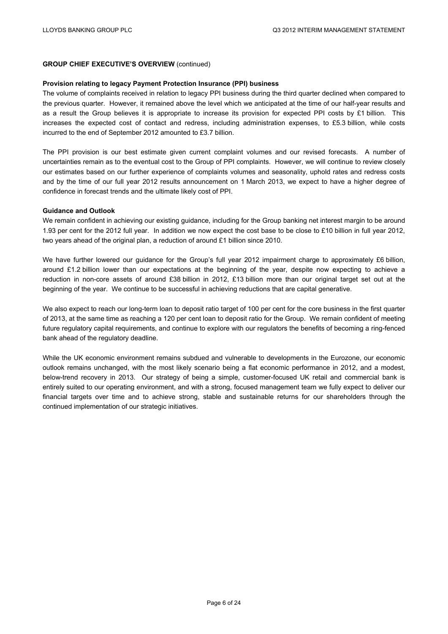#### **GROUP CHIEF EXECUTIVE'S OVERVIEW** (continued)

#### **Provision relating to legacy Payment Protection Insurance (PPI) business**

The volume of complaints received in relation to legacy PPI business during the third quarter declined when compared to the previous quarter. However, it remained above the level which we anticipated at the time of our half-year results and as a result the Group believes it is appropriate to increase its provision for expected PPI costs by £1 billion. This increases the expected cost of contact and redress, including administration expenses, to £5.3 billion, while costs incurred to the end of September 2012 amounted to £3.7 billion.

The PPI provision is our best estimate given current complaint volumes and our revised forecasts. A number of uncertainties remain as to the eventual cost to the Group of PPI complaints. However, we will continue to review closely our estimates based on our further experience of complaints volumes and seasonality, uphold rates and redress costs and by the time of our full year 2012 results announcement on 1 March 2013, we expect to have a higher degree of confidence in forecast trends and the ultimate likely cost of PPI.

#### **Guidance and Outlook**

We remain confident in achieving our existing guidance, including for the Group banking net interest margin to be around 1.93 per cent for the 2012 full year. In addition we now expect the cost base to be close to £10 billion in full year 2012, two years ahead of the original plan, a reduction of around £1 billion since 2010.

We have further lowered our guidance for the Group's full year 2012 impairment charge to approximately £6 billion, around £1.2 billion lower than our expectations at the beginning of the year, despite now expecting to achieve a reduction in non-core assets of around £38 billion in 2012, £13 billion more than our original target set out at the beginning of the year. We continue to be successful in achieving reductions that are capital generative.

We also expect to reach our long-term loan to deposit ratio target of 100 per cent for the core business in the first quarter of 2013, at the same time as reaching a 120 per cent loan to deposit ratio for the Group. We remain confident of meeting future regulatory capital requirements, and continue to explore with our regulators the benefits of becoming a ring-fenced bank ahead of the regulatory deadline.

While the UK economic environment remains subdued and vulnerable to developments in the Eurozone, our economic outlook remains unchanged, with the most likely scenario being a flat economic performance in 2012, and a modest, below-trend recovery in 2013. Our strategy of being a simple, customer-focused UK retail and commercial bank is entirely suited to our operating environment, and with a strong, focused management team we fully expect to deliver our financial targets over time and to achieve strong, stable and sustainable returns for our shareholders through the continued implementation of our strategic initiatives.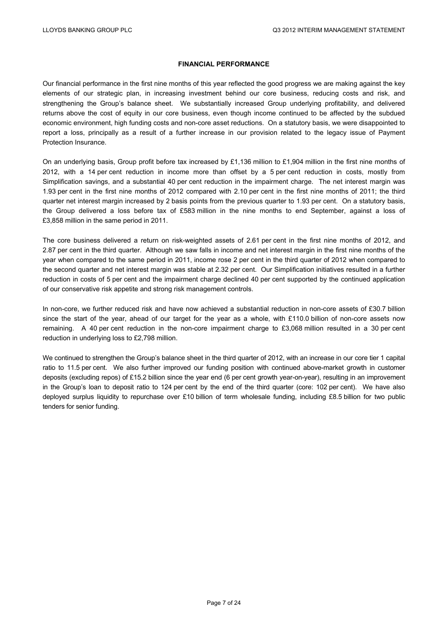#### **FINANCIAL PERFORMANCE**

Our financial performance in the first nine months of this year reflected the good progress we are making against the key elements of our strategic plan, in increasing investment behind our core business, reducing costs and risk, and strengthening the Group's balance sheet. We substantially increased Group underlying profitability, and delivered returns above the cost of equity in our core business, even though income continued to be affected by the subdued economic environment, high funding costs and non-core asset reductions. On a statutory basis, we were disappointed to report a loss, principally as a result of a further increase in our provision related to the legacy issue of Payment Protection Insurance.

On an underlying basis, Group profit before tax increased by £1,136 million to £1,904 million in the first nine months of 2012, with a 14 per cent reduction in income more than offset by a 5 per cent reduction in costs, mostly from Simplification savings, and a substantial 40 per cent reduction in the impairment charge. The net interest margin was 1.93 per cent in the first nine months of 2012 compared with 2.10 per cent in the first nine months of 2011; the third quarter net interest margin increased by 2 basis points from the previous quarter to 1.93 per cent. On a statutory basis, the Group delivered a loss before tax of £583 million in the nine months to end September, against a loss of £3,858 million in the same period in 2011.

The core business delivered a return on risk-weighted assets of 2.61 per cent in the first nine months of 2012, and 2.87 per cent in the third quarter. Although we saw falls in income and net interest margin in the first nine months of the year when compared to the same period in 2011, income rose 2 per cent in the third quarter of 2012 when compared to the second quarter and net interest margin was stable at 2.32 per cent. Our Simplification initiatives resulted in a further reduction in costs of 5 per cent and the impairment charge declined 40 per cent supported by the continued application of our conservative risk appetite and strong risk management controls.

In non-core, we further reduced risk and have now achieved a substantial reduction in non-core assets of £30.7 billion since the start of the year, ahead of our target for the year as a whole, with £110.0 billion of non-core assets now remaining. A 40 per cent reduction in the non-core impairment charge to £3,068 million resulted in a 30 per cent reduction in underlying loss to £2,798 million.

We continued to strengthen the Group's balance sheet in the third quarter of 2012, with an increase in our core tier 1 capital ratio to 11.5 per cent. We also further improved our funding position with continued above-market growth in customer deposits (excluding repos) of £15.2 billion since the year end (6 per cent growth year-on-year), resulting in an improvement in the Group's loan to deposit ratio to 124 per cent by the end of the third quarter (core: 102 per cent). We have also deployed surplus liquidity to repurchase over £10 billion of term wholesale funding, including £8.5 billion for two public tenders for senior funding.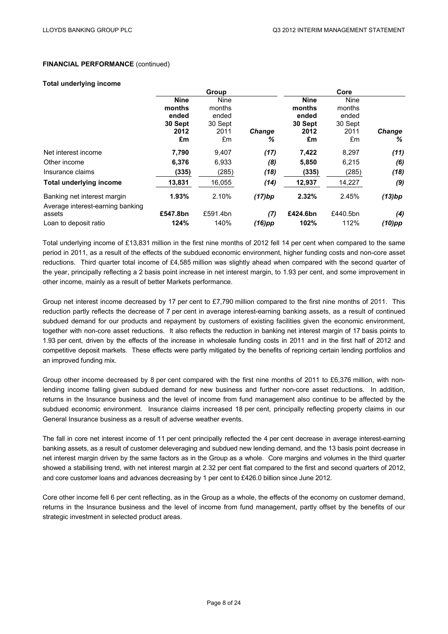#### **Total underlying income**

|                                  | Group       |          |               |             | Core        |           |
|----------------------------------|-------------|----------|---------------|-------------|-------------|-----------|
|                                  | <b>Nine</b> | Nine     |               | <b>Nine</b> | <b>Nine</b> |           |
|                                  | months      | months   |               | months      | months      |           |
|                                  | ended       | ended    |               | ended       | ended       |           |
|                                  | 30 Sept     | 30 Sept  |               | 30 Sept     | 30 Sept     |           |
|                                  | 2012        | 2011     | <b>Change</b> | 2012        | 2011        | Change    |
|                                  | £m          | £m       | ℅             | £m          | £m          | ℅         |
| Net interest income              | 7,790       | 9,407    | (17)          | 7,422       | 8,297       | (11)      |
| Other income                     | 6,376       | 6,933    | (8)           | 5,850       | 6,215       | (6)       |
| Insurance claims                 | (335)       | (285)    | (18)          | (335)       | (285)       | (18)      |
| <b>Total underlying income</b>   | 13,831      | 16,055   | (14)          | 12,937      | 14,227      | (9)       |
| Banking net interest margin      | 1.93%       | 2.10%    | (17)bp        | 2.32%       | 2.45%       | (13)bp    |
| Average interest-earning banking |             |          |               |             |             |           |
| assets                           | £547.8bn    | £591.4bn | (7)           | £424.6bn    | £440.5bn    | (4)       |
| Loan to deposit ratio            | 124%        | 140%     | (16)pp        | 102%        | 112%        | $(10)$ pp |

Total underlying income of £13,831 million in the first nine months of 2012 fell 14 per cent when compared to the same period in 2011, as a result of the effects of the subdued economic environment, higher funding costs and non-core asset reductions. Third quarter total income of £4,585 million was slightly ahead when compared with the second quarter of the year, principally reflecting a 2 basis point increase in net interest margin, to 1.93 per cent, and some improvement in other income, mainly as a result of better Markets performance.

Group net interest income decreased by 17 per cent to £7,790 million compared to the first nine months of 2011. This reduction partly reflects the decrease of 7 per cent in average interest-earning banking assets, as a result of continued subdued demand for our products and repayment by customers of existing facilities given the economic environment, together with non-core asset reductions. It also reflects the reduction in banking net interest margin of 17 basis points to 1.93 per cent, driven by the effects of the increase in wholesale funding costs in 2011 and in the first half of 2012 and competitive deposit markets. These effects were partly mitigated by the benefits of repricing certain lending portfolios and an improved funding mix.

Group other income decreased by 8 per cent compared with the first nine months of 2011 to £6,376 million, with nonlending income falling given subdued demand for new business and further non-core asset reductions. In addition, returns in the Insurance business and the level of income from fund management also continue to be affected by the subdued economic environment. Insurance claims increased 18 per cent, principally reflecting property claims in our General Insurance business as a result of adverse weather events.

The fall in core net interest income of 11 per cent principally reflected the 4 per cent decrease in average interest-earning banking assets, as a result of customer deleveraging and subdued new lending demand, and the 13 basis point decrease in net interest margin driven by the same factors as in the Group as a whole. Core margins and volumes in the third quarter showed a stabilising trend, with net interest margin at 2.32 per cent flat compared to the first and second quarters of 2012, and core customer loans and advances decreasing by 1 per cent to £426.0 billion since June 2012.

Core other income fell 6 per cent reflecting, as in the Group as a whole, the effects of the economy on customer demand, returns in the Insurance business and the level of income from fund management, partly offset by the benefits of our strategic investment in selected product areas.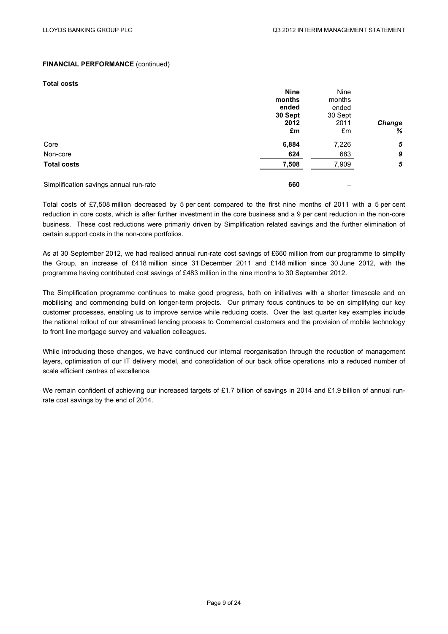#### **Total costs**

|                                        | <b>Nine</b> | Nine    |            |
|----------------------------------------|-------------|---------|------------|
|                                        | months      | months  |            |
|                                        | ended       | ended   |            |
|                                        | 30 Sept     | 30 Sept |            |
|                                        | 2012        | 2011    | Change     |
|                                        | £m          | £m      | %          |
| Core                                   | 6,884       | 7,226   | 5          |
| Non-core                               | 624         | 683     | 9          |
| <b>Total costs</b>                     | 7,508       | 7,909   | $\sqrt{5}$ |
| Simplification savings annual run-rate | 660         |         |            |

Total costs of £7,508 million decreased by 5 per cent compared to the first nine months of 2011 with a 5 per cent reduction in core costs, which is after further investment in the core business and a 9 per cent reduction in the non-core business. These cost reductions were primarily driven by Simplification related savings and the further elimination of certain support costs in the non-core portfolios.

As at 30 September 2012, we had realised annual run-rate cost savings of £660 million from our programme to simplify the Group, an increase of £418 million since 31 December 2011 and £148 million since 30 June 2012, with the programme having contributed cost savings of £483 million in the nine months to 30 September 2012.

The Simplification programme continues to make good progress, both on initiatives with a shorter timescale and on mobilising and commencing build on longer-term projects. Our primary focus continues to be on simplifying our key customer processes, enabling us to improve service while reducing costs. Over the last quarter key examples include the national rollout of our streamlined lending process to Commercial customers and the provision of mobile technology to front line mortgage survey and valuation colleagues.

While introducing these changes, we have continued our internal reorganisation through the reduction of management layers, optimisation of our IT delivery model, and consolidation of our back office operations into a reduced number of scale efficient centres of excellence.

We remain confident of achieving our increased targets of £1.7 billion of savings in 2014 and £1.9 billion of annual runrate cost savings by the end of 2014.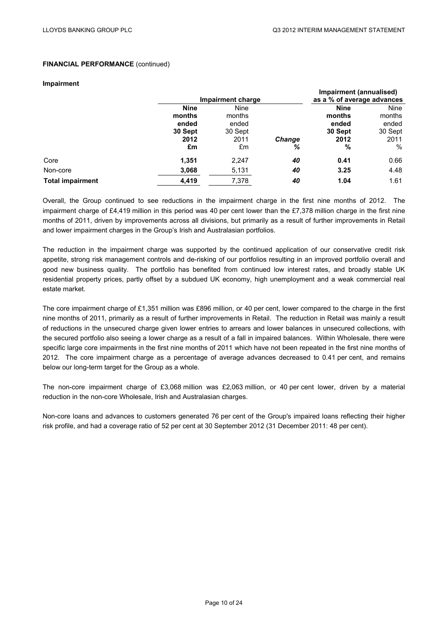#### **Impairment**

|                         |             |                   |               | Impairment (annualised)    |         |
|-------------------------|-------------|-------------------|---------------|----------------------------|---------|
|                         |             | Impairment charge |               | as a % of average advances |         |
|                         | <b>Nine</b> | Nine              |               | <b>Nine</b>                | Nine    |
|                         | months      | months            |               | months                     | months  |
|                         | ended       | ended             |               | ended                      | ended   |
|                         | 30 Sept     | 30 Sept           |               | 30 Sept                    | 30 Sept |
|                         | 2012        | 2011              | <b>Change</b> | 2012                       | 2011    |
|                         | £m          | £m                | %             | %                          | %       |
| Core                    | 1,351       | 2,247             | 40            | 0.41                       | 0.66    |
| Non-core                | 3,068       | 5,131             | 40            | 3.25                       | 4.48    |
| <b>Total impairment</b> | 4,419       | 7,378             | 40            | 1.04                       | 1.61    |

Overall, the Group continued to see reductions in the impairment charge in the first nine months of 2012. The impairment charge of £4,419 million in this period was 40 per cent lower than the £7,378 million charge in the first nine months of 2011, driven by improvements across all divisions, but primarily as a result of further improvements in Retail and lower impairment charges in the Group's Irish and Australasian portfolios.

The reduction in the impairment charge was supported by the continued application of our conservative credit risk appetite, strong risk management controls and de-risking of our portfolios resulting in an improved portfolio overall and good new business quality. The portfolio has benefited from continued low interest rates, and broadly stable UK residential property prices, partly offset by a subdued UK economy, high unemployment and a weak commercial real estate market.

The core impairment charge of £1,351 million was £896 million, or 40 per cent, lower compared to the charge in the first nine months of 2011, primarily as a result of further improvements in Retail. The reduction in Retail was mainly a result of reductions in the unsecured charge given lower entries to arrears and lower balances in unsecured collections, with the secured portfolio also seeing a lower charge as a result of a fall in impaired balances. Within Wholesale, there were specific large core impairments in the first nine months of 2011 which have not been repeated in the first nine months of 2012. The core impairment charge as a percentage of average advances decreased to 0.41 per cent, and remains below our long-term target for the Group as a whole.

The non-core impairment charge of £3,068 million was £2,063 million, or 40 per cent lower, driven by a material reduction in the non-core Wholesale, Irish and Australasian charges.

Non-core loans and advances to customers generated 76 per cent of the Group's impaired loans reflecting their higher risk profile, and had a coverage ratio of 52 per cent at 30 September 2012 (31 December 2011: 48 per cent).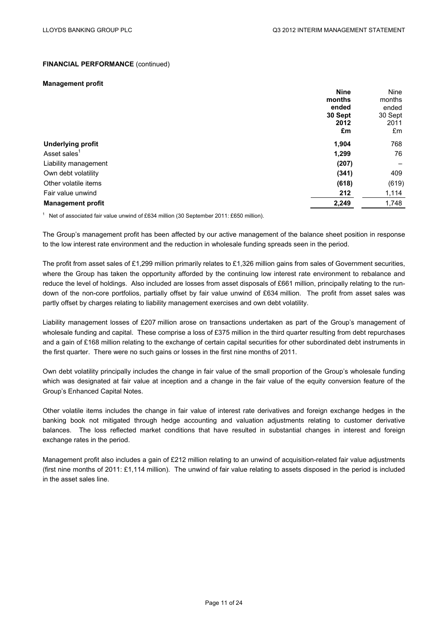#### **Management profit**

|                          | <b>Nine</b> | <b>Nine</b> |
|--------------------------|-------------|-------------|
|                          | months      | months      |
|                          | ended       | ended       |
|                          | 30 Sept     | 30 Sept     |
|                          | 2012        | 2011        |
|                          | £m          | £m          |
| <b>Underlying profit</b> | 1,904       | 768         |
| Asset sales <sup>1</sup> | 1,299       | 76          |
| Liability management     | (207)       |             |
| Own debt volatility      | (341)       | 409         |
| Other volatile items     | (618)       | (619)       |
| Fair value unwind        | 212         | 1,114       |
| <b>Management profit</b> | 2,249       | 1,748       |

<sup>1</sup> Net of associated fair value unwind of £634 million (30 September 2011: £650 million).

The Group's management profit has been affected by our active management of the balance sheet position in response to the low interest rate environment and the reduction in wholesale funding spreads seen in the period.

The profit from asset sales of £1,299 million primarily relates to £1,326 million gains from sales of Government securities, where the Group has taken the opportunity afforded by the continuing low interest rate environment to rebalance and reduce the level of holdings. Also included are losses from asset disposals of £661 million, principally relating to the rundown of the non-core portfolios, partially offset by fair value unwind of £634 million. The profit from asset sales was partly offset by charges relating to liability management exercises and own debt volatility.

Liability management losses of £207 million arose on transactions undertaken as part of the Group's management of wholesale funding and capital. These comprise a loss of £375 million in the third quarter resulting from debt repurchases and a gain of £168 million relating to the exchange of certain capital securities for other subordinated debt instruments in the first quarter. There were no such gains or losses in the first nine months of 2011.

Own debt volatility principally includes the change in fair value of the small proportion of the Group's wholesale funding which was designated at fair value at inception and a change in the fair value of the equity conversion feature of the Group's Enhanced Capital Notes.

Other volatile items includes the change in fair value of interest rate derivatives and foreign exchange hedges in the banking book not mitigated through hedge accounting and valuation adjustments relating to customer derivative balances. The loss reflected market conditions that have resulted in substantial changes in interest and foreign exchange rates in the period.

Management profit also includes a gain of £212 million relating to an unwind of acquisition-related fair value adjustments (first nine months of 2011: £1,114 million). The unwind of fair value relating to assets disposed in the period is included in the asset sales line.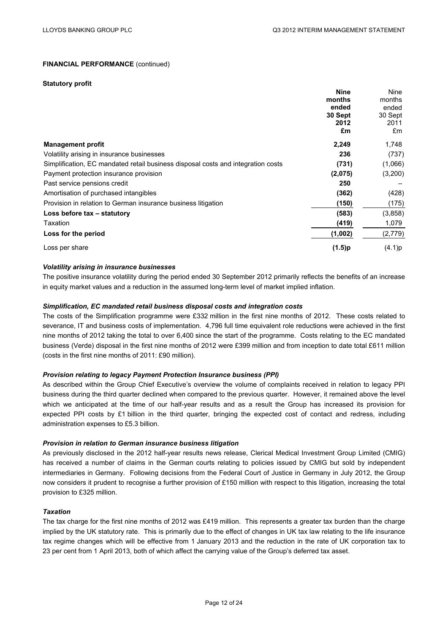#### **Statutory profit**

|                                                                                  | <b>Nine</b> | Nine    |
|----------------------------------------------------------------------------------|-------------|---------|
|                                                                                  | months      | months  |
|                                                                                  | ended       | ended   |
|                                                                                  | 30 Sept     | 30 Sept |
|                                                                                  | 2012        | 2011    |
|                                                                                  | £m          | £m      |
| <b>Management profit</b>                                                         | 2,249       | 1,748   |
| Volatility arising in insurance businesses                                       | 236         | (737)   |
| Simplification, EC mandated retail business disposal costs and integration costs | (731)       | (1,066) |
| Payment protection insurance provision                                           | (2,075)     | (3,200) |
| Past service pensions credit                                                     | 250         |         |
| Amortisation of purchased intangibles                                            | (362)       | (428)   |
| Provision in relation to German insurance business litigation                    | (150)       | (175)   |
| Loss before tax - statutory                                                      | (583)       | (3,858) |
| Taxation                                                                         | (419)       | 1,079   |
| Loss for the period                                                              | (1,002)     | (2,779) |
| Loss per share                                                                   | (1.5)p      | (4.1)p  |

#### *Volatility arising in insurance businesses*

The positive insurance volatility during the period ended 30 September 2012 primarily reflects the benefits of an increase in equity market values and a reduction in the assumed long-term level of market implied inflation.

#### *Simplification, EC mandated retail business disposal costs and integration costs*

The costs of the Simplification programme were £332 million in the first nine months of 2012. These costs related to severance, IT and business costs of implementation. 4,796 full time equivalent role reductions were achieved in the first nine months of 2012 taking the total to over 6,400 since the start of the programme. Costs relating to the EC mandated business (Verde) disposal in the first nine months of 2012 were £399 million and from inception to date total £611 million (costs in the first nine months of 2011: £90 million).

#### *Provision relating to legacy Payment Protection Insurance business (PPI)*

As described within the Group Chief Executive's overview the volume of complaints received in relation to legacy PPI business during the third quarter declined when compared to the previous quarter. However, it remained above the level which we anticipated at the time of our half-year results and as a result the Group has increased its provision for expected PPI costs by £1 billion in the third quarter, bringing the expected cost of contact and redress, including administration expenses to £5.3 billion.

#### *Provision in relation to German insurance business litigation*

As previously disclosed in the 2012 half-year results news release, Clerical Medical Investment Group Limited (CMIG) has received a number of claims in the German courts relating to policies issued by CMIG but sold by independent intermediaries in Germany. Following decisions from the Federal Court of Justice in Germany in July 2012, the Group now considers it prudent to recognise a further provision of £150 million with respect to this litigation, increasing the total provision to £325 million.

#### *Taxation*

The tax charge for the first nine months of 2012 was £419 million. This represents a greater tax burden than the charge implied by the UK statutory rate. This is primarily due to the effect of changes in UK tax law relating to the life insurance tax regime changes which will be effective from 1 January 2013 and the reduction in the rate of UK corporation tax to 23 per cent from 1 April 2013, both of which affect the carrying value of the Group's deferred tax asset.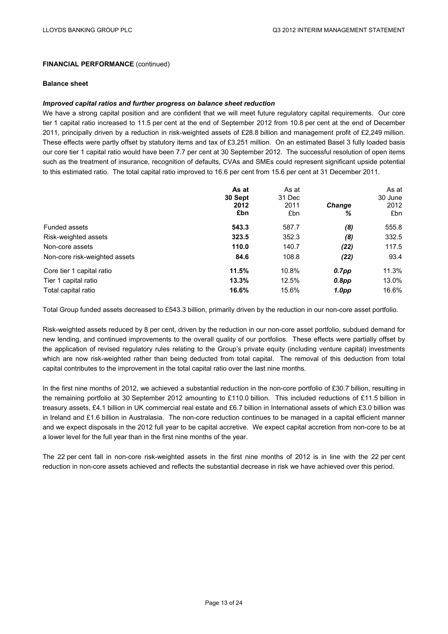#### **Balance sheet**

#### *Improved capital ratios and further progress on balance sheet reduction*

We have a strong capital position and are confident that we will meet future regulatory capital requirements. Our core tier 1 capital ratio increased to 11.5 per cent at the end of September 2012 from 10.8 per cent at the end of December 2011, principally driven by a reduction in risk-weighted assets of £28.8 billion and management profit of £2,249 million. These effects were partly offset by statutory items and tax of £3,251 million. On an estimated Basel 3 fully loaded basis our core tier 1 capital ratio would have been 7.7 per cent at 30 September 2012. The successful resolution of open items such as the treatment of insurance, recognition of defaults, CVAs and SMEs could represent significant upside potential to this estimated ratio. The total capital ratio improved to 16.6 per cent from 15.6 per cent at 31 December 2011.

|                               | As at<br>30 Sept<br>2012<br>£bn | As at<br>31 Dec<br>2011<br>£bn | <b>Change</b><br>% | As at<br>30 June<br>2012<br>£bn |
|-------------------------------|---------------------------------|--------------------------------|--------------------|---------------------------------|
| Funded assets                 | 543.3                           | 587.7                          | (8)                | 555.8                           |
| Risk-weighted assets          | 323.5                           | 352.3                          | (8)                | 332.5                           |
| Non-core assets               | 110.0                           | 140.7                          | (22)               | 117.5                           |
| Non-core risk-weighted assets | 84.6                            | 108.8                          | (22)               | 93.4                            |
| Core tier 1 capital ratio     | 11.5%                           | 10.8%                          | $0.7$ pp           | 11.3%                           |
| Tier 1 capital ratio          | 13.3%                           | 12.5%                          | $0.8$ pp           | 13.0%                           |
| Total capital ratio           | 16.6%                           | 15.6%                          | 1.0pp              | 16.6%                           |

Total Group funded assets decreased to £543.3 billion, primarily driven by the reduction in our non-core asset portfolio.

Risk-weighted assets reduced by 8 per cent, driven by the reduction in our non-core asset portfolio, subdued demand for new lending, and continued improvements to the overall quality of our portfolios. These effects were partially offset by the application of revised regulatory rules relating to the Group's private equity (including venture capital) investments which are now risk-weighted rather than being deducted from total capital. The removal of this deduction from total capital contributes to the improvement in the total capital ratio over the last nine months.

In the first nine months of 2012, we achieved a substantial reduction in the non-core portfolio of £30.7 billion, resulting in the remaining portfolio at 30 September 2012 amounting to £110.0 billion. This included reductions of £11.5 billion in treasury assets, £4.1 billion in UK commercial real estate and £6.7 billion in International assets of which £3.0 billion was in Ireland and £1.6 billion in Australasia. The non-core reduction continues to be managed in a capital efficient manner and we expect disposals in the 2012 full year to be capital accretive. We expect capital accretion from non-core to be at a lower level for the full year than in the first nine months of the year.

The 22 per cent fall in non-core risk-weighted assets in the first nine months of 2012 is in line with the 22 per cent reduction in non-core assets achieved and reflects the substantial decrease in risk we have achieved over this period.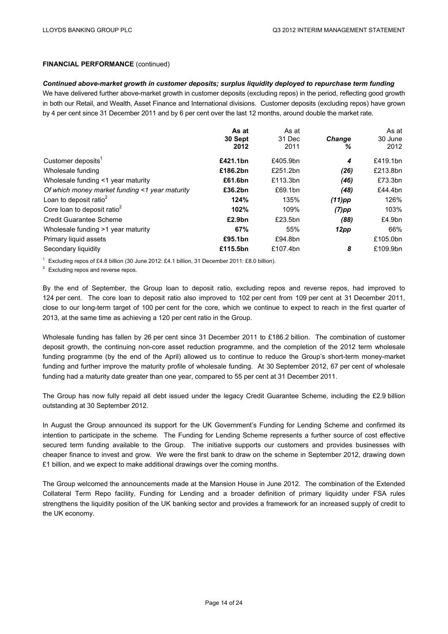#### *Continued above-market growth in customer deposits; surplus liquidity deployed to repurchase term funding*

We have delivered further above-market growth in customer deposits (excluding repos) in the period, reflecting good growth in both our Retail, and Wealth, Asset Finance and International divisions. Customer deposits (excluding repos) have grown by 4 per cent since 31 December 2011 and by 6 per cent over the last 12 months, around double the market rate.

|                                                | As at<br>30 Sept<br>2012 | As at<br>31 Dec<br>2011 | <b>Change</b><br>℅ | As at<br>30 June<br>2012 |
|------------------------------------------------|--------------------------|-------------------------|--------------------|--------------------------|
| Customer deposits <sup>1</sup>                 | £421.1bn                 | £405.9bn                | 4                  | £419.1bn                 |
| Wholesale funding                              | £186.2bn                 | £251.2bn                | (26)               | £213.8bn                 |
| Wholesale funding <1 year maturity             | £61.6bn                  | £113.3bn                | (46)               | £73.3bn                  |
| Of which money market funding <1 year maturity | £36.2bn                  | £69.1bn                 | (48)               | £44.4bn                  |
| Loan to deposit ratio $2$                      | 124%                     | 135%                    | $(11)$ pp          | 126%                     |
| Core loan to deposit ratio <sup>2</sup>        | 102%                     | 109%                    | $(7)$ pp           | 103%                     |
| <b>Credit Guarantee Scheme</b>                 | £2.9bn                   | £23.5bn                 | (88)               | £4.9 <sub>bn</sub>       |
| Wholesale funding >1 year maturity             | 67%                      | 55%                     | 12pp               | 66%                      |
| Primary liquid assets                          | £95.1bn                  | £94.8bn                 |                    | £105.0bn                 |
| Secondary liquidity                            | £115.5bn                 | £107.4bn                | 8                  | £109.9bn                 |

<sup>1</sup> Excluding repos of £4.8 billion (30 June 2012: £4.1 billion, 31 December 2011: £8.0 billion).

<sup>2</sup> Excluding repos and reverse repos.

By the end of September, the Group loan to deposit ratio, excluding repos and reverse repos, had improved to 124 per cent. The core loan to deposit ratio also improved to 102 per cent from 109 per cent at 31 December 2011, close to our long-term target of 100 per cent for the core, which we continue to expect to reach in the first quarter of 2013, at the same time as achieving a 120 per cent ratio in the Group.

Wholesale funding has fallen by 26 per cent since 31 December 2011 to £186.2 billion. The combination of customer deposit growth, the continuing non-core asset reduction programme, and the completion of the 2012 term wholesale funding programme (by the end of the April) allowed us to continue to reduce the Group's short-term money-market funding and further improve the maturity profile of wholesale funding. At 30 September 2012, 67 per cent of wholesale funding had a maturity date greater than one year, compared to 55 per cent at 31 December 2011.

The Group has now fully repaid all debt issued under the legacy Credit Guarantee Scheme, including the £2.9 billion outstanding at 30 September 2012.

In August the Group announced its support for the UK Government's Funding for Lending Scheme and confirmed its intention to participate in the scheme. The Funding for Lending Scheme represents a further source of cost effective secured term funding available to the Group. The initiative supports our customers and provides businesses with cheaper finance to invest and grow. We were the first bank to draw on the scheme in September 2012, drawing down £1 billion, and we expect to make additional drawings over the coming months.

The Group welcomed the announcements made at the Mansion House in June 2012. The combination of the Extended Collateral Term Repo facility, Funding for Lending and a broader definition of primary liquidity under FSA rules strengthens the liquidity position of the UK banking sector and provides a framework for an increased supply of credit to the UK economy.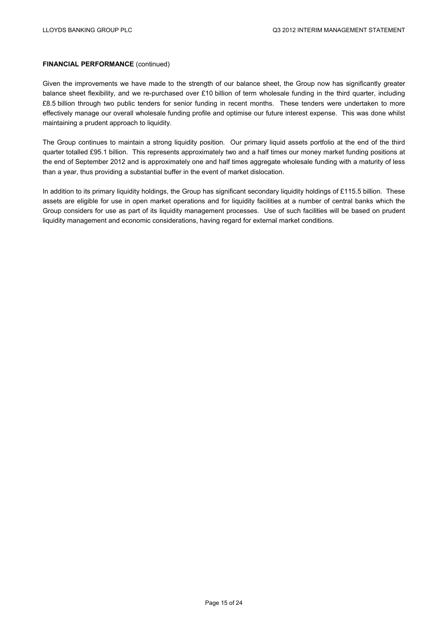Given the improvements we have made to the strength of our balance sheet, the Group now has significantly greater balance sheet flexibility, and we re-purchased over £10 billion of term wholesale funding in the third quarter, including £8.5 billion through two public tenders for senior funding in recent months. These tenders were undertaken to more effectively manage our overall wholesale funding profile and optimise our future interest expense. This was done whilst maintaining a prudent approach to liquidity.

The Group continues to maintain a strong liquidity position. Our primary liquid assets portfolio at the end of the third quarter totalled £95.1 billion. This represents approximately two and a half times our money market funding positions at the end of September 2012 and is approximately one and half times aggregate wholesale funding with a maturity of less than a year, thus providing a substantial buffer in the event of market dislocation.

In addition to its primary liquidity holdings, the Group has significant secondary liquidity holdings of £115.5 billion. These assets are eligible for use in open market operations and for liquidity facilities at a number of central banks which the Group considers for use as part of its liquidity management processes. Use of such facilities will be based on prudent liquidity management and economic considerations, having regard for external market conditions.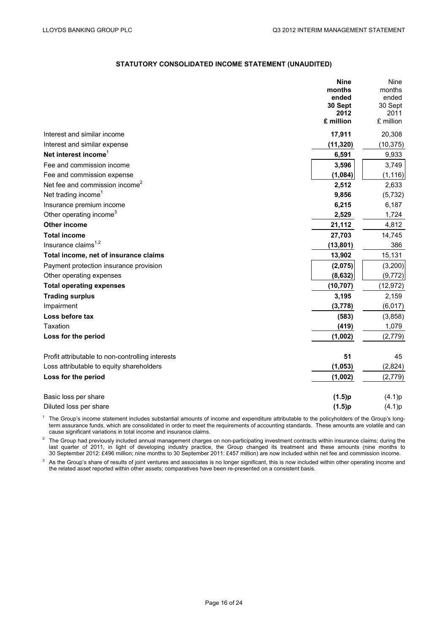## **STATUTORY CONSOLIDATED INCOME STATEMENT (UNAUDITED)**

|                                                  | <b>Nine</b>     | Nine            |
|--------------------------------------------------|-----------------|-----------------|
|                                                  | months          | months          |
|                                                  | ended           | ended           |
|                                                  | 30 Sept<br>2012 | 30 Sept<br>2011 |
|                                                  | £ million       | £ million       |
| Interest and similar income                      | 17,911          | 20,308          |
| Interest and similar expense                     | (11, 320)       | (10, 375)       |
| Net interest income <sup>1</sup>                 | 6,591           | 9,933           |
| Fee and commission income                        | 3,596           | 3,749           |
| Fee and commission expense                       | (1,084)         | (1, 116)        |
| Net fee and commission income <sup>2</sup>       | 2,512           | 2,633           |
| Net trading income <sup>1</sup>                  | 9,856           | (5, 732)        |
| Insurance premium income                         | 6,215           | 6,187           |
| Other operating income <sup>3</sup>              | 2,529           | 1,724           |
| <b>Other income</b>                              | 21,112          | 4,812           |
| <b>Total income</b>                              | 27,703          | 14,745          |
| Insurance claims <sup>1,2</sup>                  | (13, 801)       | 386             |
| Total income, net of insurance claims            | 13,902          | 15,131          |
| Payment protection insurance provision           | (2,075)         | (3,200)         |
| Other operating expenses                         | (8, 632)        | (9, 772)        |
| <b>Total operating expenses</b>                  | (10, 707)       | (12, 972)       |
| <b>Trading surplus</b>                           | 3,195           | 2,159           |
| Impairment                                       | (3,778)         | (6,017)         |
| Loss before tax                                  | (583)           | (3,858)         |
| Taxation                                         | (419)           | 1,079           |
| Loss for the period                              | (1,002)         | (2,779)         |
| Profit attributable to non-controlling interests | 51              | 45              |
| Loss attributable to equity shareholders         | (1, 053)        | (2,824)         |
| Loss for the period                              | (1,002)         | (2,779)         |
| Basic loss per share                             | (1.5)p          | (4.1)p          |
| Diluted loss per share                           | (1.5)p          | (4.1)p          |

 $<sup>1</sup>$  The Group's income statement includes substantial amounts of income and expenditure attributable to the policyholders of the Group's long-</sup> term assurance funds, which are consolidated in order to meet the requirements of accounting standards. These amounts are volatile and can cause significant variations in total income and insurance claims.

 $2$  The Group had previously included annual management charges on non-participating investment contracts within insurance claims; during the last quarter of 2011, in light of developing industry practice, the Group changed its treatment and these amounts (nine months to 30 September 2012: £496 million; nine months to 30 September 2011: £457 million) are now included within net fee and commission income.

<sup>3</sup> As the Group's share of results of joint ventures and associates is no longer significant, this is now included within other operating income and the related asset reported within other assets; comparatives have been re-presented on a consistent basis.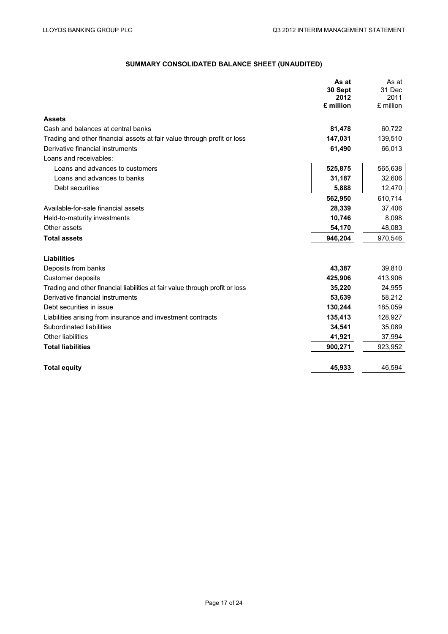# **SUMMARY CONSOLIDATED BALANCE SHEET (UNAUDITED)**

|                                                                              | As at     | As at     |
|------------------------------------------------------------------------------|-----------|-----------|
|                                                                              | 30 Sept   | 31 Dec    |
|                                                                              | 2012      | 2011      |
|                                                                              | £ million | £ million |
| <b>Assets</b>                                                                |           |           |
| Cash and balances at central banks                                           | 81,478    | 60,722    |
| Trading and other financial assets at fair value through profit or loss      | 147,031   | 139,510   |
| Derivative financial instruments                                             | 61,490    | 66,013    |
| Loans and receivables:                                                       |           |           |
| Loans and advances to customers                                              | 525,875   | 565,638   |
| Loans and advances to banks                                                  | 31,187    | 32,606    |
| Debt securities                                                              | 5,888     | 12,470    |
|                                                                              | 562,950   | 610,714   |
| Available-for-sale financial assets                                          | 28,339    | 37,406    |
| Held-to-maturity investments                                                 | 10,746    | 8,098     |
| Other assets                                                                 | 54,170    | 48,083    |
| <b>Total assets</b>                                                          | 946,204   | 970,546   |
| Liabilities                                                                  |           |           |
| Deposits from banks                                                          | 43,387    | 39,810    |
| Customer deposits                                                            | 425,906   | 413,906   |
| Trading and other financial liabilities at fair value through profit or loss | 35,220    | 24,955    |
| Derivative financial instruments                                             | 53,639    | 58,212    |
| Debt securities in issue                                                     | 130,244   | 185,059   |
| Liabilities arising from insurance and investment contracts                  | 135,413   | 128,927   |
| Subordinated liabilities                                                     | 34,541    | 35,089    |
| Other liabilities                                                            | 41,921    | 37,994    |
| <b>Total liabilities</b>                                                     | 900,271   | 923,952   |
| <b>Total equity</b>                                                          | 45,933    | 46,594    |
|                                                                              |           |           |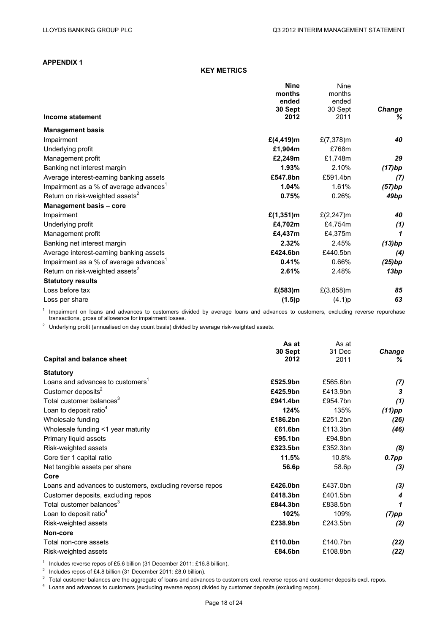# **APPENDIX 1**

#### **KEY METRICS**

|                                                    | <b>Nine</b>    | <b>Nine</b>    |               |
|----------------------------------------------------|----------------|----------------|---------------|
|                                                    | months         | months         |               |
|                                                    | ended          | ended          |               |
|                                                    | 30 Sept        | 30 Sept        | <b>Change</b> |
| Income statement                                   | 2012           | 2011           | ℅             |
| <b>Management basis</b>                            |                |                |               |
| Impairment                                         | £ $(4, 419)$ m | £ $(7,378)$ m  | 40            |
| Underlying profit                                  | £1,904m        | £768m          |               |
| Management profit                                  | £2,249m        | £1,748m        | 29            |
| Banking net interest margin                        | 1.93%          | 2.10%          | (17)bp        |
| Average interest-earning banking assets            | £547.8bn       | £591.4bn       | (7)           |
| Impairment as a % of average advances <sup>1</sup> | 1.04%          | 1.61%          | (57)bp        |
| Return on risk-weighted assets <sup>2</sup>        | 0.75%          | 0.26%          | 49bp          |
| Management basis - core                            |                |                |               |
| Impairment                                         | £ $(1, 351)$ m | £ $(2, 247)$ m | 40            |
| Underlying profit                                  | £4,702m        | £4,754m        | (1)           |
| Management profit                                  | £4,437m        | £4,375m        | 1             |
| Banking net interest margin                        | 2.32%          | 2.45%          | (13)bp        |
| Average interest-earning banking assets            | £424.6bn       | £440.5bn       | (4)           |
| Impairment as a % of average advances <sup>1</sup> | 0.41%          | 0.66%          | (25)bp        |
| Return on risk-weighted assets <sup>2</sup>        | 2.61%          | 2.48%          | 13bp          |
| <b>Statutory results</b>                           |                |                |               |
| Loss before tax                                    | £(583)m        | £ $(3,858)$ m  | 85            |
| Loss per share                                     | (1.5)p         | (4.1)p         | 63            |

<sup>1</sup> Impairment on loans and advances to customers divided by average loans and advances to customers, excluding reverse repurchase transactions, gross of allowance for impairment losses.

<sup>2</sup> Underlying profit (annualised on day count basis) divided by average risk-weighted assets.

|                                                          | As at    | As at    |               |
|----------------------------------------------------------|----------|----------|---------------|
|                                                          | 30 Sept  | 31 Dec   | <b>Change</b> |
| <b>Capital and balance sheet</b>                         | 2012     | 2011     | ℅             |
| <b>Statutory</b>                                         |          |          |               |
| Loans and advances to customers <sup>1</sup>             | £525.9bn | £565.6bn | (7)           |
| Customer deposits <sup>2</sup>                           | £425.9bn | £413.9bn | 3             |
| Total customer balances <sup>3</sup>                     | £941.4bn | £954.7bn | (1)           |
| Loan to deposit ratio <sup>4</sup>                       | 124%     | 135%     | $(11)$ pp     |
| Wholesale funding                                        | £186.2bn | £251.2bn | (26)          |
| Wholesale funding <1 year maturity                       | £61.6bn  | £113.3bn | (46)          |
| Primary liquid assets                                    | £95.1bn  | £94.8bn  |               |
| Risk-weighted assets                                     | £323.5bn | £352.3bn | (8)           |
| Core tier 1 capital ratio                                | 11.5%    | 10.8%    | $0.7$ pp      |
| Net tangible assets per share                            | 56.6p    | 58.6p    | (3)           |
| Core                                                     |          |          |               |
| Loans and advances to customers, excluding reverse repos | £426.0bn | £437.0bn | (3)           |
| Customer deposits, excluding repos                       | £418.3bn | £401.5bn | 4             |
| Total customer balances <sup>3</sup>                     | £844.3bn | £838.5bn | 1             |
| Loan to deposit ratio <sup>4</sup>                       | 102%     | 109%     | $(7)$ pp      |
| Risk-weighted assets                                     | £238.9bn | £243.5bn | (2)           |
| Non-core                                                 |          |          |               |
| Total non-core assets                                    | £110.0bn | £140.7bn | (22)          |
| Risk-weighted assets                                     | £84.6bn  | £108.8bn | (22)          |
|                                                          |          |          |               |

<sup>1</sup> Includes reverse repos of £5.6 billion (31 December 2011: £16.8 billion).<br><sup>2</sup> Includes repos of £4.8 billion (31 December 2011: £8.0 billion).<br><sup>3</sup> Total customer balances are the aggregate of loans and advances to cus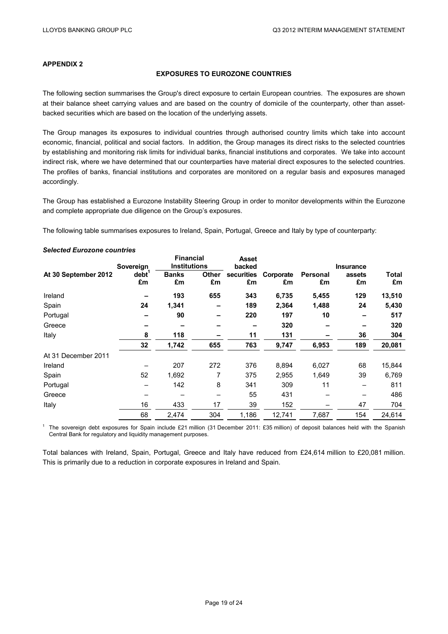# **APPENDIX 2**

#### **EXPOSURES TO EUROZONE COUNTRIES**

The following section summarises the Group's direct exposure to certain European countries. The exposures are shown at their balance sheet carrying values and are based on the country of domicile of the counterparty, other than assetbacked securities which are based on the location of the underlying assets.

The Group manages its exposures to individual countries through authorised country limits which take into account economic, financial, political and social factors. In addition, the Group manages its direct risks to the selected countries by establishing and monitoring risk limits for individual banks, financial institutions and corporates. We take into account indirect risk, where we have determined that our counterparties have material direct exposures to the selected countries. The profiles of banks, financial institutions and corporates are monitored on a regular basis and exposures managed accordingly.

The Group has established a Eurozone Instability Steering Group in order to monitor developments within the Eurozone and complete appropriate due diligence on the Group's exposures.

The following table summarises exposures to Ireland, Spain, Portugal, Greece and Italy by type of counterparty:

|                      | Sovereign               | <b>Financial</b><br><b>Institutions</b> |                    | <b>Asset</b><br>backed |                 |                | <b>Insurance</b> |             |
|----------------------|-------------------------|-----------------------------------------|--------------------|------------------------|-----------------|----------------|------------------|-------------|
| At 30 September 2012 | debt <sup>1</sup><br>£m | <b>Banks</b><br>£m                      | <b>Other</b><br>£m | securities<br>£m       | Corporate<br>£m | Personal<br>£m | assets<br>£m     | Total<br>£m |
| Ireland              |                         | 193                                     | 655                | 343                    | 6,735           | 5,455          | 129              | 13,510      |
| Spain                | 24                      | 1,341                                   |                    | 189                    | 2,364           | 1,488          | 24               | 5,430       |
| Portugal             |                         | 90                                      |                    | 220                    | 197             | 10             |                  | 517         |
| Greece               |                         |                                         |                    |                        | 320             |                |                  | 320         |
| Italy                | 8                       | 118                                     |                    | 11                     | 131             |                | 36               | 304         |
|                      | 32                      | 1,742                                   | 655                | 763                    | 9,747           | 6,953          | 189              | 20,081      |
| At 31 December 2011  |                         |                                         |                    |                        |                 |                |                  |             |
| Ireland              |                         | 207                                     | 272                | 376                    | 8,894           | 6,027          | 68               | 15,844      |
| Spain                | 52                      | 1,692                                   | 7                  | 375                    | 2,955           | 1,649          | 39               | 6,769       |
| Portugal             |                         | 142                                     | 8                  | 341                    | 309             | 11             |                  | 811         |
| Greece               |                         |                                         |                    | 55                     | 431             |                |                  | 486         |
| Italy                | 16                      | 433                                     | 17                 | 39                     | 152             |                | 47               | 704         |
|                      | 68                      | 2,474                                   | 304                | 1,186                  | 12,741          | 7,687          | 154              | 24,614      |

*Selected Eurozone countries* 

<sup>1</sup> The sovereign debt exposures for Spain include £21 million (31 December 2011: £35 million) of deposit balances held with the Spanish Central Bank for regulatory and liquidity management purposes.

Total balances with Ireland, Spain, Portugal, Greece and Italy have reduced from £24,614 million to £20,081 million. This is primarily due to a reduction in corporate exposures in Ireland and Spain.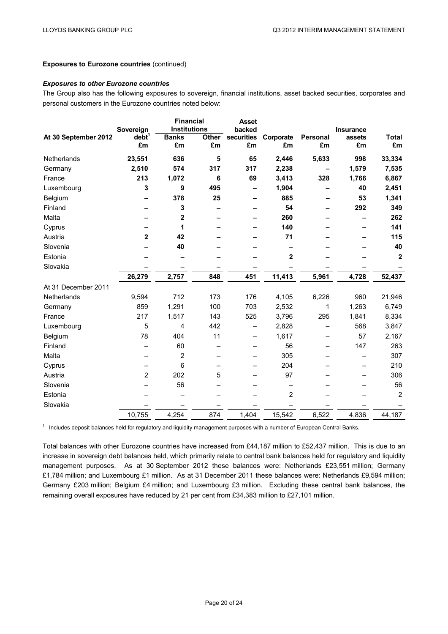#### **Exposures to Eurozone countries** (continued)

#### *Exposures to other Eurozone countries*

The Group also has the following exposures to sovereign, financial institutions, asset backed securities, corporates and personal customers in the Eurozone countries noted below:

|                      |                                | <b>Financial</b><br><b>Institutions</b> |              | <b>Asset</b><br>backed |                |                 |                     |                  |
|----------------------|--------------------------------|-----------------------------------------|--------------|------------------------|----------------|-----------------|---------------------|------------------|
| At 30 September 2012 | Sovereign<br>debt <sup>1</sup> | <b>Banks</b>                            | <b>Other</b> | securities             | Corporate      | <b>Personal</b> | Insurance<br>assets | <b>Total</b>     |
|                      | £m                             | £m                                      | £m           | £m                     | £m             | £m              | £m                  | £m               |
| Netherlands          | 23,551                         | 636                                     | 5            | 65                     | 2,446          | 5,633           | 998                 | 33,334           |
| Germany              | 2,510                          | 574                                     | 317          | 317                    | 2,238          |                 | 1,579               | 7,535            |
| France               | 213                            | 1,072                                   | 6            | 69                     | 3,413          | 328             | 1,766               | 6,867            |
| Luxembourg           | 3                              | 9                                       | 495          |                        | 1,904          |                 | 40                  | 2,451            |
| Belgium              |                                | 378                                     | 25           |                        | 885            |                 | 53                  | 1,341            |
| Finland              |                                | 3                                       |              |                        | 54             |                 | 292                 | 349              |
| Malta                |                                | 2                                       |              |                        | 260            |                 |                     | 262              |
| Cyprus               |                                | 1                                       |              |                        | 140            |                 |                     | 141              |
| Austria              | $\overline{2}$                 | 42                                      |              |                        | 71             |                 |                     | 115              |
| Slovenia             |                                | 40                                      |              |                        |                |                 |                     | 40               |
| Estonia              |                                |                                         |              |                        | $\mathbf 2$    |                 |                     | $\boldsymbol{2}$ |
| Slovakia             |                                |                                         |              |                        |                |                 |                     |                  |
|                      | 26,279                         | 2,757                                   | 848          | 451                    | 11,413         | 5,961           | 4,728               | 52,437           |
| At 31 December 2011  |                                |                                         |              |                        |                |                 |                     |                  |
| Netherlands          | 9,594                          | 712                                     | 173          | 176                    | 4,105          | 6,226           | 960                 | 21,946           |
| Germany              | 859                            | 1,291                                   | 100          | 703                    | 2,532          | 1               | 1,263               | 6,749            |
| France               | 217                            | 1,517                                   | 143          | 525                    | 3,796          | 295             | 1,841               | 8,334            |
| Luxembourg           | 5                              | $\overline{4}$                          | 442          |                        | 2,828          |                 | 568                 | 3,847            |
| Belgium              | 78                             | 404                                     | 11           | —                      | 1,617          |                 | 57                  | 2,167            |
| Finland              |                                | 60                                      |              |                        | 56             |                 | 147                 | 263              |
| Malta                |                                | 2                                       |              |                        | 305            |                 |                     | 307              |
| Cyprus               |                                | 6                                       |              |                        | 204            |                 |                     | 210              |
| Austria              | $\overline{2}$                 | 202                                     | 5            |                        | 97             |                 |                     | 306              |
| Slovenia             |                                | 56                                      |              |                        |                |                 |                     | 56               |
| Estonia              |                                |                                         |              |                        | $\overline{2}$ |                 |                     | $\overline{2}$   |
| Slovakia             |                                |                                         |              |                        |                |                 |                     |                  |
|                      | 10,755                         | 4,254                                   | 874          | 1,404                  | 15,542         | 6,522           | 4,836               | 44,187           |

<sup>1</sup> Includes deposit balances held for regulatory and liquidity management purposes with a number of European Central Banks.

Total balances with other Eurozone countries have increased from £44,187 million to £52,437 million. This is due to an increase in sovereign debt balances held, which primarily relate to central bank balances held for regulatory and liquidity management purposes. As at 30 September 2012 these balances were: Netherlands £23,551 million; Germany £1,784 million; and Luxembourg £1 million. As at 31 December 2011 these balances were: Netherlands £9,594 million; Germany £203 million; Belgium £4 million; and Luxembourg £3 million. Excluding these central bank balances, the remaining overall exposures have reduced by 21 per cent from £34,383 million to £27,101 million.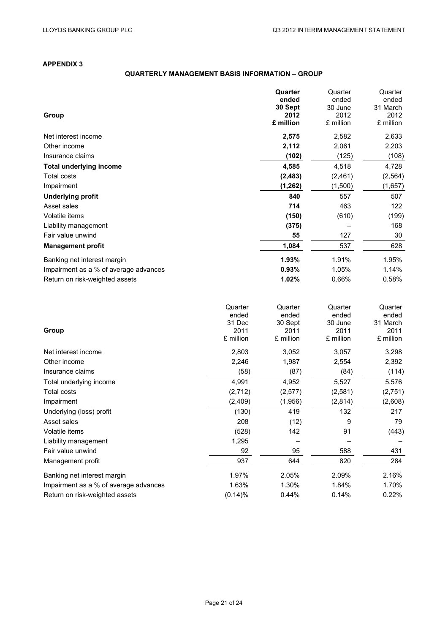# **APPENDIX 3**

# **QUARTERLY MANAGEMENT BASIS INFORMATION – GROUP**

|                                       | Quarter<br>ended | Quarter<br>ended | Quarter<br>ended |
|---------------------------------------|------------------|------------------|------------------|
| Group                                 | 30 Sept<br>2012  | 30 June<br>2012  | 31 March<br>2012 |
|                                       | £ million        | £ million        | £ million        |
| Net interest income                   | 2,575            | 2,582            | 2,633            |
| Other income                          | 2,112            | 2,061            | 2,203            |
| Insurance claims                      | (102)            | (125)            | (108)            |
| <b>Total underlying income</b>        | 4,585            | 4,518            | 4,728            |
| <b>Total costs</b>                    | (2, 483)         | (2,461)          | (2, 564)         |
| Impairment                            | (1, 262)         | (1,500)          | (1,657)          |
| <b>Underlying profit</b>              | 840              | 557              | 507              |
| Asset sales                           | 714              | 463              | 122              |
| Volatile items                        | (150)            | (610)            | (199)            |
| Liability management                  | (375)            |                  | 168              |
| Fair value unwind                     | 55               | 127              | 30               |
| <b>Management profit</b>              | 1,084            | 537              | 628              |
| Banking net interest margin           | 1.93%            | 1.91%            | 1.95%            |
| Impairment as a % of average advances | 0.93%            | 1.05%            | 1.14%            |
| Return on risk-weighted assets        | 1.02%            | 0.66%            | 0.58%            |

|                                       | Quarter   | Quarter   | Quarter   | Quarter   |
|---------------------------------------|-----------|-----------|-----------|-----------|
|                                       | ended     | ended     | ended     | ended     |
|                                       | 31 Dec    | 30 Sept   | 30 June   | 31 March  |
| Group                                 | 2011      | 2011      | 2011      | 2011      |
|                                       | £ million | £ million | £ million | £ million |
| Net interest income                   | 2,803     | 3,052     | 3,057     | 3,298     |
| Other income                          | 2,246     | 1,987     | 2,554     | 2,392     |
| Insurance claims                      | (58)      | (87)      | (84)      | (114)     |
| Total underlying income               | 4,991     | 4,952     | 5,527     | 5,576     |
| Total costs                           | (2,712)   | (2,577)   | (2,581)   | (2,751)   |
| Impairment                            | (2, 409)  | (1,956)   | (2,814)   | (2,608)   |
| Underlying (loss) profit              | (130)     | 419       | 132       | 217       |
| Asset sales                           | 208       | (12)      | 9         | 79        |
| Volatile items                        | (528)     | 142       | 91        | (443)     |
| Liability management                  | 1,295     |           |           |           |
| Fair value unwind                     | 92        | 95        | 588       | 431       |
| Management profit                     | 937       | 644       | 820       | 284       |
| Banking net interest margin           | 1.97%     | 2.05%     | 2.09%     | 2.16%     |
| Impairment as a % of average advances | 1.63%     | 1.30%     | 1.84%     | 1.70%     |
| Return on risk-weighted assets        | (0.14)%   | 0.44%     | 0.14%     | 0.22%     |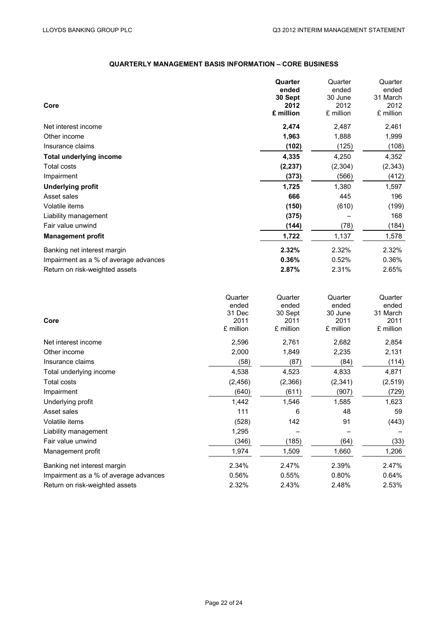# **QUARTERLY MANAGEMENT BASIS INFORMATION – CORE BUSINESS**

| Quarter  | Quarter   | Quarter           |
|----------|-----------|-------------------|
| ended    | ended     | ended             |
| 30 Sept  | 30 June   | 31 March          |
| 2012     |           | 2012              |
|          |           | £ million         |
| 2,474    | 2,487     | 2,461             |
| 1,963    | 1,888     | 1,999             |
| (102)    | (125)     | (108)             |
| 4,335    | 4,250     | 4,352             |
| (2, 237) | (2, 304)  | (2, 343)          |
| (373)    | (566)     | (412)             |
| 1,725    | 1,380     | 1,597             |
| 666      | 445       | 196               |
| (150)    | (610)     | (199)             |
| (375)    |           | 168               |
| (144)    | (78)      | (184)             |
| 1,722    | 1,137     | 1,578             |
| 2.32%    | 2.32%     | 2.32%             |
| 0.36%    | 0.52%     | 0.36%             |
| 2.87%    | 2.31%     | 2.65%             |
|          | £ million | 2012<br>£ million |

|                                       | Quarter   | Quarter   | Quarter   | Quarter   |
|---------------------------------------|-----------|-----------|-----------|-----------|
|                                       | ended     | ended     | ended     | ended     |
|                                       | 31 Dec    | 30 Sept   | 30 June   | 31 March  |
| Core                                  | 2011      | 2011      | 2011      | 2011      |
|                                       | £ million | £ million | £ million | £ million |
| Net interest income                   | 2,596     | 2,761     | 2,682     | 2,854     |
| Other income                          | 2,000     | 1,849     | 2,235     | 2,131     |
| Insurance claims                      | (58)      | (87)      | (84)      | (114)     |
| Total underlying income               | 4,538     | 4,523     | 4,833     | 4,871     |
| <b>Total costs</b>                    | (2, 456)  | (2,366)   | (2,341)   | (2, 519)  |
| Impairment                            | (640)     | (611)     | (907)     | (729)     |
| Underlying profit                     | 1,442     | 1,546     | 1,585     | 1,623     |
| Asset sales                           | 111       | 6         | 48        | 59        |
| Volatile items                        | (528)     | 142       | 91        | (443)     |
| Liability management                  | 1,295     |           |           |           |
| Fair value unwind                     | (346)     | (185)     | (64)      | (33)      |
| Management profit                     | 1,974     | 1,509     | 1,660     | 1,206     |
| Banking net interest margin           | 2.34%     | 2.47%     | 2.39%     | 2.47%     |
| Impairment as a % of average advances | 0.56%     | 0.55%     | 0.80%     | 0.64%     |
| Return on risk-weighted assets        | 2.32%     | 2.43%     | 2.48%     | 2.53%     |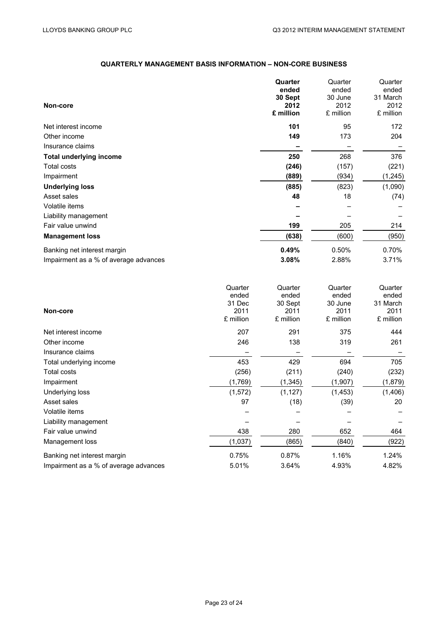# **QUARTERLY MANAGEMENT BASIS INFORMATION – NON-CORE BUSINESS**

|                                       | Quarter   | Quarter   | Quarter   |
|---------------------------------------|-----------|-----------|-----------|
|                                       | ended     | ended     | ended     |
|                                       | 30 Sept   | 30 June   | 31 March  |
| Non-core                              | 2012      | 2012      | 2012      |
|                                       | £ million | £ million | £ million |
| Net interest income                   | 101       | 95        | 172       |
| Other income                          | 149       | 173       | 204       |
| Insurance claims                      |           |           |           |
| <b>Total underlying income</b>        | 250       | 268       | 376       |
| Total costs                           | (246)     | (157)     | (221)     |
| Impairment                            | (889)     | (934)     | (1, 245)  |
| <b>Underlying loss</b>                | (885)     | (823)     | (1,090)   |
| Asset sales                           | 48        | 18        | (74)      |
| Volatile items                        |           |           |           |
| Liability management                  |           |           |           |
| Fair value unwind                     | 199       | 205       | 214       |
| <b>Management loss</b>                | (638)     | (600)     | (950)     |
| Banking net interest margin           | 0.49%     | 0.50%     | 0.70%     |
| Impairment as a % of average advances | 3.08%     | 2.88%     | 3.71%     |
|                                       |           |           |           |

|                                       | Quarter   | Quarter   | Quarter   | Quarter   |
|---------------------------------------|-----------|-----------|-----------|-----------|
|                                       | ended     | ended     | ended     | ended     |
|                                       | 31 Dec    | 30 Sept   | 30 June   | 31 March  |
| Non-core                              | 2011      | 2011      | 2011      | 2011      |
|                                       | £ million | £ million | £ million | £ million |
| Net interest income                   | 207       | 291       | 375       | 444       |
| Other income                          | 246       | 138       | 319       | 261       |
| Insurance claims                      |           |           |           |           |
| Total underlying income               | 453       | 429       | 694       | 705       |
| Total costs                           | (256)     | (211)     | (240)     | (232)     |
| Impairment                            | (1,769)   | (1,345)   | (1,907)   | (1,879)   |
| Underlying loss                       | (1, 572)  | (1, 127)  | (1, 453)  | (1,406)   |
| Asset sales                           | 97        | (18)      | (39)      | 20        |
| Volatile items                        |           |           |           |           |
| Liability management                  |           |           |           |           |
| Fair value unwind                     | 438       | 280       | 652       | 464       |
| Management loss                       | (1,037)   | (865)     | (840)     | (922)     |
| Banking net interest margin           | 0.75%     | 0.87%     | 1.16%     | 1.24%     |
| Impairment as a % of average advances | 5.01%     | 3.64%     | 4.93%     | 4.82%     |
|                                       |           |           |           |           |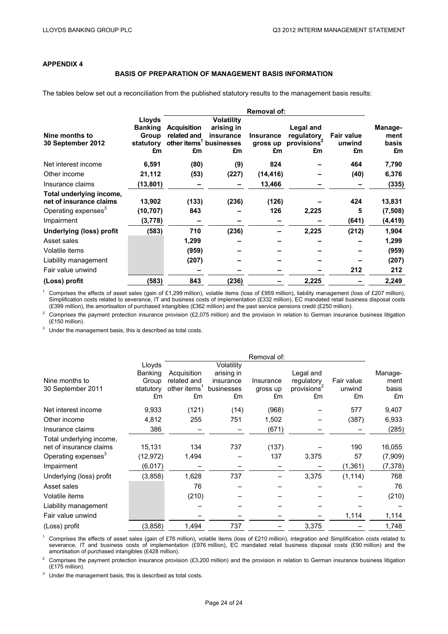# **APPENDIX 4**

#### **BASIS OF PREPARATION OF MANAGEMENT BASIS INFORMATION**

The tables below set out a reconciliation from the published statutory results to the management basis results:

|                                 | <b>Removal of:</b> |                    |                                     |                  |                         |                   |          |
|---------------------------------|--------------------|--------------------|-------------------------------------|------------------|-------------------------|-------------------|----------|
|                                 | Lloyds             |                    | <b>Volatility</b>                   |                  |                         |                   |          |
|                                 | <b>Banking</b>     | <b>Acquisition</b> | arising in                          |                  | Legal and               |                   | Manage-  |
| Nine months to                  | Group              | related and        | insurance                           | <b>Insurance</b> | regulatory              | <b>Fair value</b> | ment     |
| 30 September 2012               | statutory          |                    | other items <sup>1</sup> businesses | gross up         | provisions <sup>2</sup> | unwind            | basis    |
|                                 | £m                 | £m                 | £m                                  | £m               | £m                      | £m                | £m       |
| Net interest income             | 6,591              | (80)               | (9)                                 | 824              |                         | 464               | 7,790    |
| Other income                    | 21,112             | (53)               | (227)                               | (14, 416)        |                         | (40)              | 6,376    |
| Insurance claims                | (13,801)           | -                  | -                                   | 13,466           |                         |                   | (335)    |
| Total underlying income,        |                    |                    |                                     |                  |                         |                   |          |
| net of insurance claims         | 13,902             | (133)              | (236)                               | (126)            |                         | 424               | 13,831   |
| Operating expenses <sup>3</sup> | (10, 707)          | 843                |                                     | 126              | 2,225                   | 5                 | (7, 508) |
| Impairment                      | (3,778)            |                    |                                     |                  |                         | (641)             | (4, 419) |
| <b>Underlying (loss) profit</b> | (583)              | 710                | (236)                               |                  | 2,225                   | (212)             | 1,904    |
| Asset sales                     |                    | 1,299              |                                     |                  |                         |                   | 1,299    |
| Volatile items                  |                    | (959)              |                                     |                  |                         |                   | (959)    |
| Liability management            |                    | (207)              |                                     |                  |                         |                   | (207)    |
| Fair value unwind               |                    |                    |                                     |                  |                         | 212               | 212      |
| (Loss) profit                   | (583)              | 843                | (236)                               |                  | 2,225                   |                   | 2,249    |

<sup>1</sup> Comprises the effects of asset sales (gain of £1,299 million), volatile items (loss of £959 million), liability management (loss of £207 million), Simplification costs related to severance, IT and business costs of implementation (£332 million), EC mandated retail business disposal costs (£399 million), the amortisation of purchased intangibles (£362 million) and the past service pensions credit (£250 million).

<sup>2</sup> Comprises the payment protection insurance provision (£2,075 million) and the provision in relation to German insurance business litigation (£150 million).

 $3$  Under the management basis, this is described as total costs.

|                                 |                          | Removal of:              |                          |           |                         |            |          |
|---------------------------------|--------------------------|--------------------------|--------------------------|-----------|-------------------------|------------|----------|
|                                 | Lloyds<br><b>Banking</b> | Acquisition              | Volatility<br>arising in |           | Legal and               |            | Manage-  |
| Nine months to                  | Group                    | related and              | insurance                | Insurance | regulatory              | Fair value | ment     |
| 30 September 2011               | statutory                | other items <sup>1</sup> | businesses               | gross up  | provisions <sup>2</sup> | unwind     | basis    |
|                                 | £m                       | £m                       | £m                       | £m        | £m                      | £m         | £m       |
| Net interest income             | 9,933                    | (121)                    | (14)                     | (968)     |                         | 577        | 9,407    |
| Other income                    | 4,812                    | 255                      | 751                      | 1,502     |                         | (387)      | 6,933    |
| Insurance claims                | 386                      |                          |                          | (671)     |                         |            | (285)    |
| Total underlying income,        |                          |                          |                          |           |                         |            |          |
| net of insurance claims         | 15,131                   | 134                      | 737                      | (137)     |                         | 190        | 16,055   |
| Operating expenses <sup>3</sup> | (12, 972)                | 1,494                    |                          | 137       | 3,375                   | 57         | (7,909)  |
| Impairment                      | (6, 017)                 |                          |                          |           |                         | (1, 361)   | (7, 378) |
| Underlying (loss) profit        | (3, 858)                 | 1,628                    | 737                      |           | 3,375                   | (1, 114)   | 768      |
| Asset sales                     |                          | 76                       |                          |           |                         |            | 76       |
| Volatile items                  |                          | (210)                    |                          |           |                         |            | (210)    |
| Liability management            |                          |                          |                          |           |                         |            |          |
| Fair value unwind               |                          |                          |                          |           |                         | 1,114      | 1,114    |
| (Loss) profit                   | (3, 858)                 | 1,494                    | 737                      |           | 3,375                   |            | 1,748    |

<sup>1</sup> Comprises the effects of asset sales (gain of £76 million), volatile items (loss of £210 million), integration and Simplification costs related to severance, IT and business costs of implementation (£976 million), EC mandated retail business disposal costs (£90 million) and the amortisation of purchased intangibles (£428 million).

<sup>2</sup> Comprises the payment protection insurance provision (£3,200 million) and the provision in relation to German insurance business litigation (£175 million).

Under the management basis, this is described as total costs.